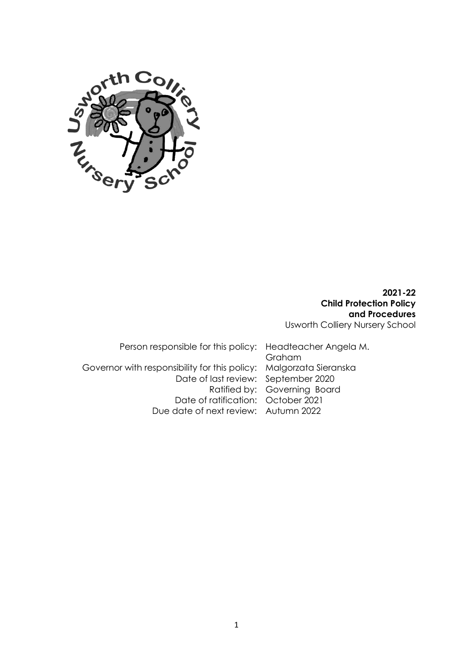

**2021-22 Child Protection Policy and Procedures**  Usworth Colliery Nursery School

| Person responsible for this policy: Headteacher Angela M.          |                              |
|--------------------------------------------------------------------|------------------------------|
|                                                                    | Graham                       |
| Governor with responsibility for this policy: Malgorzata Sieranska |                              |
| Date of last review: September 2020                                |                              |
|                                                                    | Ratified by: Governing Board |
| Date of ratification: October 2021                                 |                              |
| Due date of next review: Autumn 2022                               |                              |
|                                                                    |                              |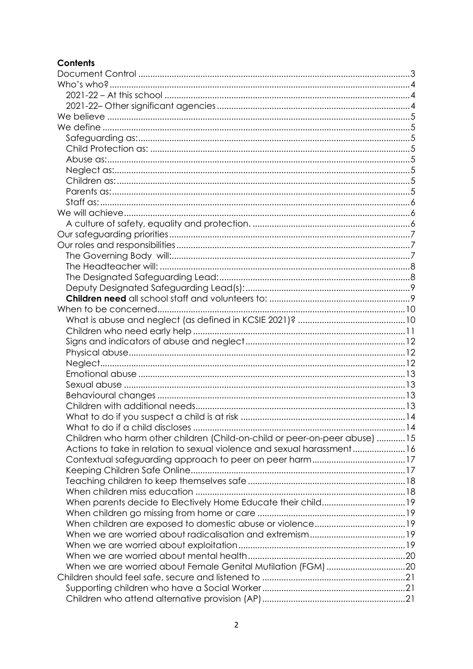# Contents

| Children who harm other children (Child-on-child or peer-on-peer abuse) 15 |  |
|----------------------------------------------------------------------------|--|
| Actions to take in relation to sexual violence and sexual harassment16     |  |
|                                                                            |  |
|                                                                            |  |
|                                                                            |  |
|                                                                            |  |
|                                                                            |  |
|                                                                            |  |
|                                                                            |  |
|                                                                            |  |
|                                                                            |  |
|                                                                            |  |
|                                                                            |  |
|                                                                            |  |
|                                                                            |  |
|                                                                            |  |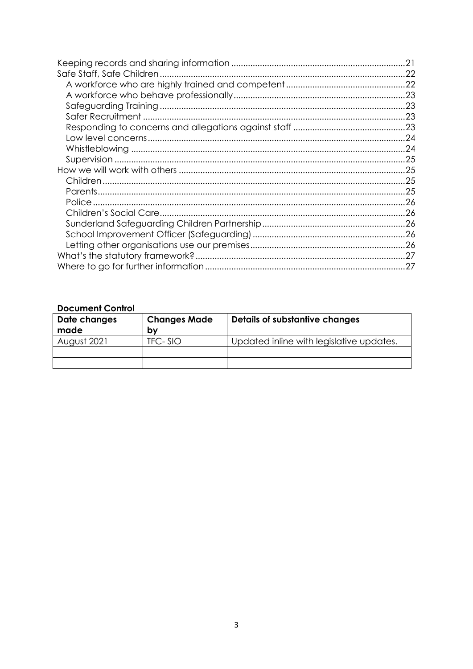| .21 |
|-----|
|     |
|     |
|     |
|     |
|     |
|     |
|     |
|     |
|     |
|     |
|     |
|     |
|     |
|     |
|     |
|     |
|     |
|     |
| 27  |

# <span id="page-2-0"></span>**Document Control**

| Date changes | <b>Changes Made</b> | Details of substantive changes           |
|--------------|---------------------|------------------------------------------|
| made         | bv                  |                                          |
| August 2021  | TFC-SIO             | Updated inline with legislative updates. |
|              |                     |                                          |
|              |                     |                                          |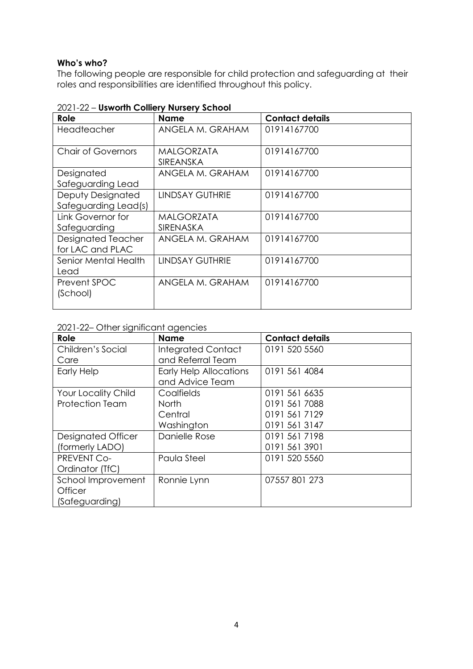#### <span id="page-3-0"></span>**Who's who?**

The following people are responsible for child protection and safeguarding at their roles and responsibilities are identified throughout this policy.

| Role                      | <b>Name</b>            | <b>Contact details</b> |  |
|---------------------------|------------------------|------------------------|--|
| Headteacher               | ANGELA M. GRAHAM       | 01914167700            |  |
|                           |                        |                        |  |
| <b>Chair of Governors</b> | <b>MALGORZATA</b>      | 01914167700            |  |
|                           | <b>SIREANSKA</b>       |                        |  |
| Designated                | ANGELA M. GRAHAM       | 01914167700            |  |
| Safeguarding Lead         |                        |                        |  |
| Deputy Designated         | <b>LINDSAY GUTHRIE</b> | 01914167700            |  |
| Safeguarding Lead(s)      |                        |                        |  |
| Link Governor for         | MALGORZATA             | 01914167700            |  |
| Safeguarding              | <b>SIRENASKA</b>       |                        |  |
| Designated Teacher        | ANGELA M. GRAHAM       | 01914167700            |  |
| for LAC and PLAC          |                        |                        |  |
| Senior Mental Health      | <b>LINDSAY GUTHRIE</b> | 01914167700            |  |
| Lead                      |                        |                        |  |
| Prevent SPOC              | ANGELA M. GRAHAM       | 01914167700            |  |
| (School)                  |                        |                        |  |
|                           |                        |                        |  |

<span id="page-3-1"></span>

| 2021-22 - Usworth Colliery Nursery School |  |
|-------------------------------------------|--|
|-------------------------------------------|--|

#### <span id="page-3-2"></span>2021-22– Other significant agencies

| Role                      | <b>Name</b>                   | <b>Contact details</b> |
|---------------------------|-------------------------------|------------------------|
| Children's Social         | Integrated Contact            | 0191 520 5560          |
| Care                      | and Referral Team             |                        |
| <b>Early Help</b>         | <b>Early Help Allocations</b> | 0191 561 4084          |
|                           | and Advice Team               |                        |
| Your Locality Child       | Coalfields                    | 0191 561 6635          |
| <b>Protection Team</b>    | <b>North</b>                  | 0191 561 7088          |
|                           | Central                       | 0191 561 7129          |
|                           | Washington                    | 0191 561 3147          |
| <b>Designated Officer</b> | Danielle Rose                 | 0191 561 7198          |
| (formerly LADO)           |                               | 0191 561 3901          |
| <b>PREVENT Co-</b>        | Paula Steel                   | 0191 520 5560          |
| Ordinator (TfC)           |                               |                        |
| School Improvement        | Ronnie Lynn                   | 07557 801 273          |
| Officer                   |                               |                        |
| (Safeguarding)            |                               |                        |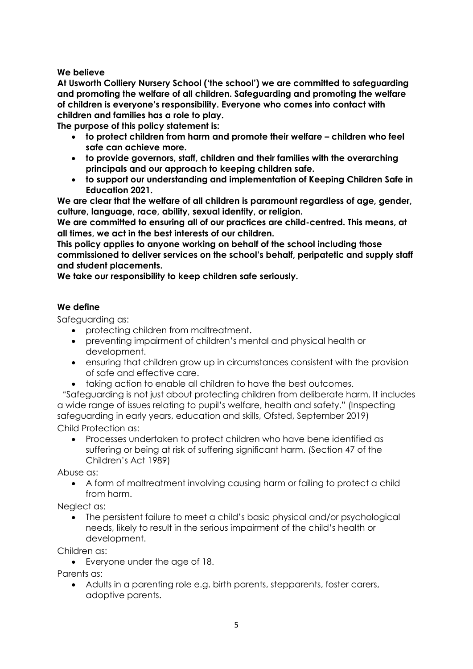#### <span id="page-4-0"></span>**We believe**

**At Usworth Colliery Nursery School ('the school') we are committed to safeguarding and promoting the welfare of all children. Safeguarding and promoting the welfare of children is everyone's responsibility. Everyone who comes into contact with children and families has a role to play.**

**The purpose of this policy statement is:** 

- **to protect children from harm and promote their welfare – children who feel safe can achieve more.**
- **to provide governors, staff, children and their families with the overarching principals and our approach to keeping children safe.**
- **to support our understanding and implementation of Keeping Children Safe in Education 2021.**

**We are clear that the welfare of all children is paramount regardless of age, gender, culture, language, race, ability, sexual identity, or religion.** 

**We are committed to ensuring all of our practices are child-centred. This means, at all times, we act in the best interests of our children.** 

**This policy applies to anyone working on behalf of the school including those commissioned to deliver services on the school's behalf, peripatetic and supply staff and student placements.**

**We take our responsibility to keep children safe seriously.** 

#### <span id="page-4-1"></span>**We define**

<span id="page-4-2"></span>Safeguarding as:

- protecting children from maltreatment.
- preventing impairment of children's mental and physical health or development.
- ensuring that children grow up in circumstances consistent with the provision of safe and effective care.
- taking action to enable all children to have the best outcomes.

 "Safeguarding is not just about protecting children from deliberate harm. It includes a wide range of issues relating to pupil's welfare, health and safety." (Inspecting safeguarding in early years, education and skills, Ofsted, September 2019) Child Protection as:

<span id="page-4-3"></span> Processes undertaken to protect children who have bene identified as suffering or being at risk of suffering significant harm. (Section 47 of the Children's Act 1989)

<span id="page-4-4"></span>Abuse as:

 A form of maltreatment involving causing harm or failing to protect a child from harm.

<span id="page-4-5"></span>Nealect as:

 The persistent failure to meet a child's basic physical and/or psychological needs, likely to result in the serious impairment of the child's health or development.

<span id="page-4-6"></span>Children as:

Everyone under the age of 18.

<span id="page-4-7"></span>Parents as:

 Adults in a parenting role e.g. birth parents, stepparents, foster carers, adoptive parents.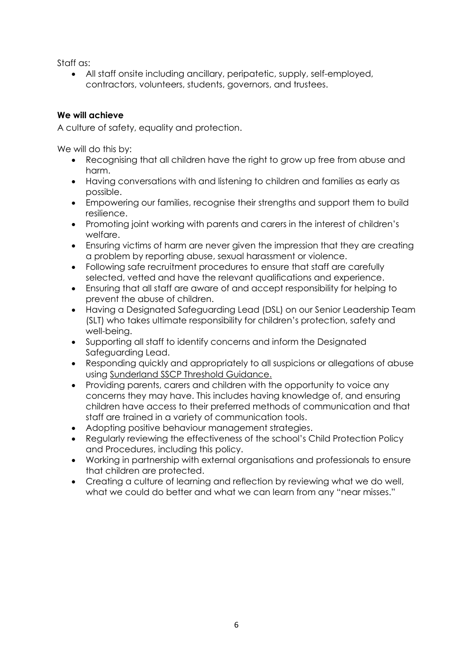<span id="page-5-0"></span>Staff as:

 All staff onsite including ancillary, peripatetic, supply, self-employed, contractors, volunteers, students, governors, and trustees.

# <span id="page-5-1"></span>**We will achieve**

<span id="page-5-2"></span>A culture of safety, equality and protection.

We will do this by:

- Recognising that all children have the right to grow up free from abuse and harm.
- Having conversations with and listening to children and families as early as possible.
- Empowering our families, recognise their strengths and support them to build resilience.
- Promoting joint working with parents and carers in the interest of children's welfare.
- Ensuring victims of harm are never given the impression that they are creating a problem by reporting abuse, sexual harassment or violence.
- Following safe recruitment procedures to ensure that staff are carefully selected, vetted and have the relevant qualifications and experience.
- Ensuring that all staff are aware of and accept responsibility for helping to prevent the abuse of children.
- Having a Designated Safeguarding Lead (DSL) on our Senior Leadership Team (SLT) who takes ultimate responsibility for children's protection, safety and well-being.
- Supporting all staff to identify concerns and inform the Designated Safeguarding Lead.
- Responding quickly and appropriately to all suspicions or allegations of abuse using Sunderland SSCP [Threshold Guidance.](https://www.togetherforchildren.org.uk/sites/default/files/2018-11/SSCB%20Multi%20Agency%20Guide%20to%20Our%20Thresholds%20of%20Need%20V4%2019.11.18%20final_0.pdf)
- Providing parents, carers and children with the opportunity to voice any concerns they may have. This includes having knowledge of, and ensuring children have access to their preferred methods of communication and that staff are trained in a variety of communication tools.
- Adopting positive behaviour management strategies.
- Regularly reviewing the effectiveness of the school's Child Protection Policy and Procedures, including this policy.
- Working in partnership with external organisations and professionals to ensure that children are protected.
- Creating a culture of learning and reflection by reviewing what we do well, what we could do better and what we can learn from any "near misses."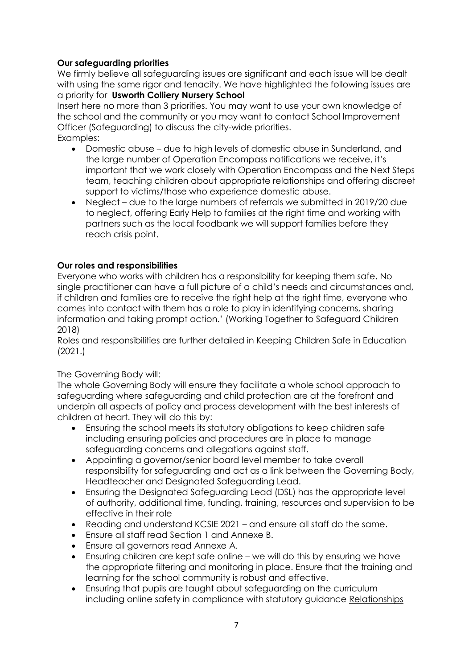# <span id="page-6-0"></span>**Our safeguarding priorities**

We firmly believe all safeguarding issues are significant and each issue will be dealt with using the same rigor and tenacity. We have highlighted the following issues are a priority for **Usworth Colliery Nursery School**

Insert here no more than 3 priorities. You may want to use your own knowledge of the school and the community or you may want to contact School Improvement Officer (Safeguarding) to discuss the city-wide priorities. Examples:

- Domestic abuse due to high levels of domestic abuse in Sunderland, and the large number of Operation Encompass notifications we receive, it's important that we work closely with Operation Encompass and the Next Steps team, teaching children about appropriate relationships and offering discreet support to victims/those who experience domestic abuse.
- Neglect due to the large numbers of referrals we submitted in 2019/20 due to neglect, offering Early Help to families at the right time and working with partners such as the local foodbank we will support families before they reach crisis point.

# <span id="page-6-1"></span>**Our roles and responsibilities**

Everyone who works with children has a responsibility for keeping them safe. No single practitioner can have a full picture of a child's needs and circumstances and, if children and families are to receive the right help at the right time, everyone who comes into contact with them has a role to play in identifying concerns, sharing information and taking prompt action.' (Working Together to Safeguard Children 2018)

Roles and responsibilities are further detailed in Keeping Children Safe in Education (2021.)

#### <span id="page-6-2"></span>The Governing Body will:

The whole Governing Body will ensure they facilitate a whole school approach to safeguarding where safeguarding and child protection are at the forefront and underpin all aspects of policy and process development with the best interests of children at heart. They will do this by:

- Ensuring the school meets its statutory obligations to keep children safe including ensuring policies and procedures are in place to manage safeguarding concerns and allegations against staff.
- Appointing a governor/senior board level member to take overall responsibility for safeguarding and act as a link between the Governing Body, Headteacher and Designated Safeguarding Lead.
- Ensuring the Designated Safeguarding Lead (DSL) has the appropriate level of authority, additional time, funding, training, resources and supervision to be effective in their role
- Reading and understand KCSIE 2021 and ensure all staff do the same.
- Ensure all staff read Section 1 and Annexe B.
- Ensure all governors read Annexe A.
- Ensuring children are kept safe online we will do this by ensuring we have the appropriate filtering and monitoring in place. Ensure that the training and learning for the school community is robust and effective.
- Ensuring that pupils are taught about safeguarding on the curriculum including online safety in compliance with statutory guidance [Relationships](https://www.gov.uk/government/publications/relationships-education-relationships-and-sex-education-rse-and-health-education)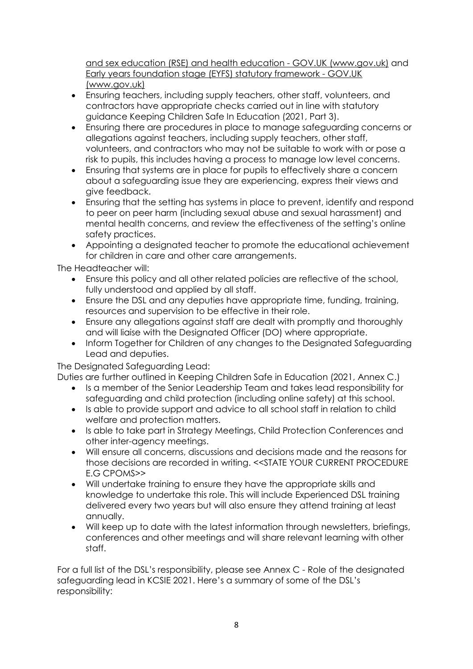[and sex education \(RSE\) and health education -](https://www.gov.uk/government/publications/relationships-education-relationships-and-sex-education-rse-and-health-education) GOV.UK (www.gov.uk) and [Early years foundation stage \(EYFS\) statutory framework -](https://www.gov.uk/government/publications/early-years-foundation-stage-framework--2) GOV.UK [\(www.gov.uk\)](https://www.gov.uk/government/publications/early-years-foundation-stage-framework--2)

- Ensuring teachers, including supply teachers, other staff, volunteers, and contractors have appropriate checks carried out in line with statutory guidance Keeping Children Safe In Education (2021, Part 3).
- Ensuring there are procedures in place to manage safeguarding concerns or allegations against teachers, including supply teachers, other staff, volunteers, and contractors who may not be suitable to work with or pose a risk to pupils, this includes having a process to manage low level concerns.
- Ensuring that systems are in place for pupils to effectively share a concern about a safeguarding issue they are experiencing, express their views and give feedback.
- Ensuring that the setting has systems in place to prevent, identify and respond to peer on peer harm (including sexual abuse and sexual harassment) and mental health concerns, and review the effectiveness of the setting's online safety practices.
- Appointing a designated teacher to promote the educational achievement for children in care and other care arrangements.

<span id="page-7-0"></span>The Headteacher will:

- Ensure this policy and all other related policies are reflective of the school, fully understood and applied by all staff.
- Ensure the DSL and any deputies have appropriate time, funding, training, resources and supervision to be effective in their role.
- Ensure any allegations against staff are dealt with promptly and thoroughly and will liaise with the Designated Officer (DO) where appropriate.
- Inform Together for Children of any changes to the Designated Safeguarding Lead and deputies.

<span id="page-7-1"></span>The Designated Safeguarding Lead:

Duties are further outlined in Keeping Children Safe in Education (2021, Annex C.)

- Is a member of the Senior Leadership Team and takes lead responsibility for safeguarding and child protection (including online safety) at this school.
- Is able to provide support and advice to all school staff in relation to child welfare and protection matters.
- Is able to take part in Strategy Meetings, Child Protection Conferences and other inter-agency meetings.
- Will ensure all concerns, discussions and decisions made and the reasons for those decisions are recorded in writing. <<STATE YOUR CURRENT PROCEDURE E.G CPOMS>>
- Will undertake training to ensure they have the appropriate skills and knowledge to undertake this role. This will include Experienced DSL training delivered every two years but will also ensure they attend training at least annually.
- Will keep up to date with the latest information through newsletters, briefings, conferences and other meetings and will share relevant learning with other staff.

For a full list of the DSL's responsibility, please see Annex C - Role of the designated safeguarding lead in KCSIE 2021. Here's a summary of some of the DSL's responsibility: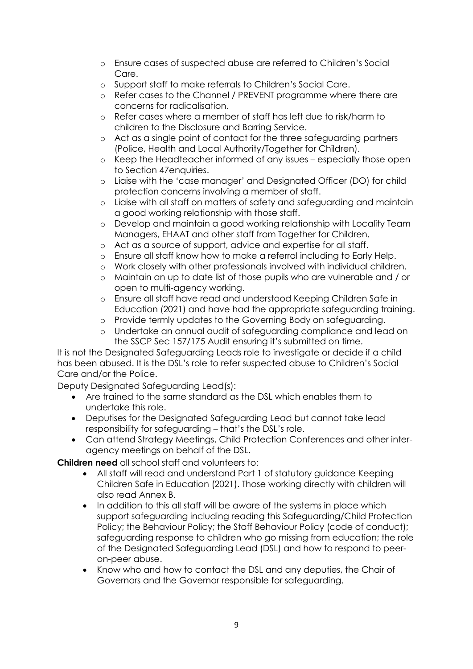- o Ensure cases of suspected abuse are referred to Children's Social Care.
- o Support staff to make referrals to Children's Social Care.
- o Refer cases to the Channel / PREVENT programme where there are concerns for radicalisation.
- o Refer cases where a member of staff has left due to risk/harm to children to the Disclosure and Barring Service.
- o Act as a single point of contact for the three safeguarding partners (Police, Health and Local Authority/Together for Children).
- o Keep the Headteacher informed of any issues especially those open to Section 47enquiries.
- o Liaise with the 'case manager' and Designated Officer (DO) for child protection concerns involving a member of staff.
- o Liaise with all staff on matters of safety and safeguarding and maintain a good working relationship with those staff.
- o Develop and maintain a good working relationship with Locality Team Managers, EHAAT and other staff from Together for Children.
- o Act as a source of support, advice and expertise for all staff.
- o Ensure all staff know how to make a referral including to Early Help.
- o Work closely with other professionals involved with individual children.
- o Maintain an up to date list of those pupils who are vulnerable and / or open to multi-agency working.
- o Ensure all staff have read and understood Keeping Children Safe in Education (2021) and have had the appropriate safeguarding training.
- o Provide termly updates to the Governing Body on safeguarding.
- o Undertake an annual audit of safeguarding compliance and lead on the SSCP Sec 157/175 Audit ensuring it's submitted on time.

It is not the Designated Safeguarding Leads role to investigate or decide if a child has been abused. It is the DSL's role to refer suspected abuse to Children's Social Care and/or the Police.

<span id="page-8-0"></span>Deputy Desianated Safeguarding Lead(s):

- Are trained to the same standard as the DSL which enables them to undertake this role.
- Deputises for the Designated Safeguarding Lead but cannot take lead responsibility for safeguarding – that's the DSL's role.
- Can attend Strategy Meetings, Child Protection Conferences and other interagency meetings on behalf of the DSL.

<span id="page-8-1"></span>**Children need** all school staff and volunteers to:

- All staff will read and understand Part 1 of statutory guidance Keeping Children Safe in Education (2021). Those working directly with children will also read Annex B.
- In addition to this all staff will be aware of the systems in place which support safeguarding including reading this Safeguarding/Child Protection Policy; the Behaviour Policy; the Staff Behaviour Policy (code of conduct); safeguarding response to children who go missing from education; the role of the Designated Safeguarding Lead (DSL) and how to respond to peeron-peer abuse.
- Know who and how to contact the DSL and any deputies, the Chair of Governors and the Governor responsible for safeguarding.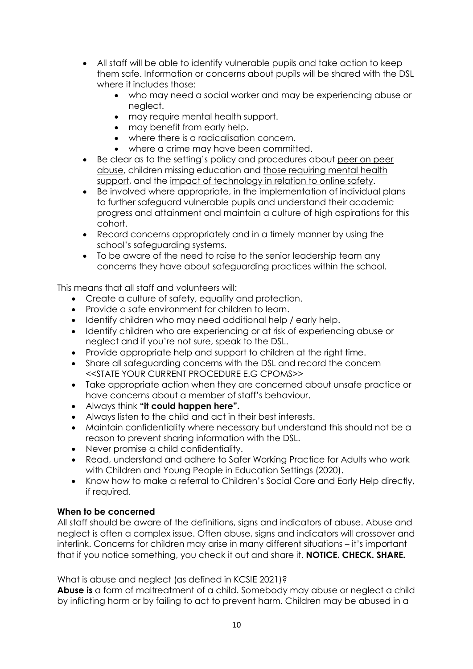- All staff will be able to identify vulnerable pupils and take action to keep them safe. Information or concerns about pupils will be shared with the DSL where it includes those:
	- who may need a social worker and may be experiencing abuse or neglect.
	- may require mental health support.
	- may benefit from early help.
	- where there is a radicalisation concern.
	- where a crime may have been committed.
- Be clear as to the setting's policy and procedures about peer on peer abuse, children missing education and those requiring mental health support, and the impact of technology in relation to online safety.
- Be involved where appropriate, in the implementation of individual plans to further safeguard vulnerable pupils and understand their academic progress and attainment and maintain a culture of high aspirations for this cohort.
- Record concerns appropriately and in a timely manner by using the school's safeguarding systems.
- To be aware of the need to raise to the senior leadership team any concerns they have about safeguarding practices within the school.

This means that all staff and volunteers will:

- Create a culture of safety, equality and protection.
- Provide a safe environment for children to learn.
- Identify children who may need additional help / early help.
- Identify children who are experiencing or at risk of experiencing abuse or neglect and if you're not sure, speak to the DSL.
- Provide appropriate help and support to children at the right time.
- Share all safeguarding concerns with the DSL and record the concern <<STATE YOUR CURRENT PROCEDURE E.G CPOMS>>
- Take appropriate action when they are concerned about unsafe practice or have concerns about a member of staff's behaviour.
- Always think **"it could happen here".**
- Always listen to the child and act in their best interests.
- Maintain confidentiality where necessary but understand this should not be a reason to prevent sharing information with the DSL.
- Never promise a child confidentiality.
- Read, understand and adhere to Safer Working Practice for Adults who work with Children and Young People in Education Settings (2020).
- Know how to make a referral to Children's Social Care and Early Help directly, if required.

#### <span id="page-9-0"></span>**When to be concerned**

All staff should be aware of the definitions, signs and indicators of abuse. Abuse and neglect is often a complex issue. Often abuse, signs and indicators will crossover and interlink. Concerns for children may arise in many different situations – it's important that if you notice something, you check it out and share it. **NOTICE. CHECK. SHARE.**

<span id="page-9-1"></span>What is abuse and neglect (as defined in KCSIE 2021)?

**Abuse is** a form of maltreatment of a child. Somebody may abuse or neglect a child by inflicting harm or by failing to act to prevent harm. Children may be abused in a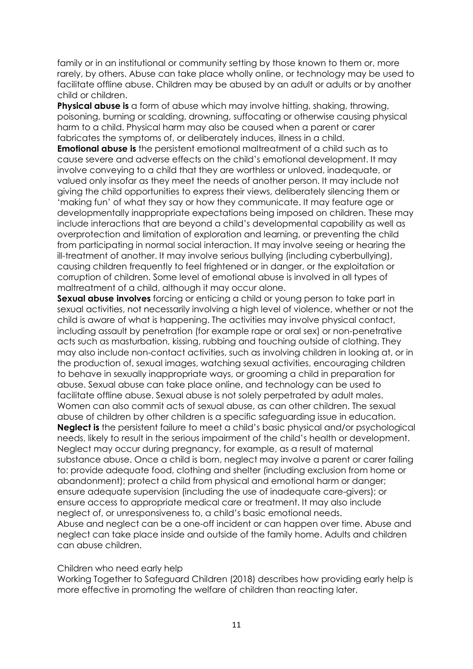family or in an institutional or community setting by those known to them or, more rarely, by others. Abuse can take place wholly online, or technology may be used to facilitate offline abuse. Children may be abused by an adult or adults or by another child or children.

**Physical abuse is** a form of abuse which may involve hitting, shaking, throwing, poisoning, burning or scalding, drowning, suffocating or otherwise causing physical harm to a child. Physical harm may also be caused when a parent or carer fabricates the symptoms of, or deliberately induces, illness in a child.

**Emotional abuse is** the persistent emotional maltreatment of a child such as to cause severe and adverse effects on the child's emotional development. It may involve conveying to a child that they are worthless or unloved, inadequate, or valued only insofar as they meet the needs of another person. It may include not giving the child opportunities to express their views, deliberately silencing them or 'making fun' of what they say or how they communicate. It may feature age or developmentally inappropriate expectations being imposed on children. These may include interactions that are beyond a child's developmental capability as well as overprotection and limitation of exploration and learning, or preventing the child from participating in normal social interaction. It may involve seeing or hearing the ill-treatment of another. It may involve serious bullying (including cyberbullying), causing children frequently to feel frightened or in danger, or the exploitation or corruption of children. Some level of emotional abuse is involved in all types of maltreatment of a child, although it may occur alone.

**Sexual abuse involves** forcing or enticing a child or young person to take part in sexual activities, not necessarily involving a high level of violence, whether or not the child is aware of what is happening. The activities may involve physical contact, including assault by penetration (for example rape or oral sex) or non-penetrative acts such as masturbation, kissing, rubbing and touching outside of clothing. They may also include non-contact activities, such as involving children in looking at, or in the production of, sexual images, watching sexual activities, encouraging children to behave in sexually inappropriate ways, or grooming a child in preparation for abuse. Sexual abuse can take place online, and technology can be used to facilitate offline abuse. Sexual abuse is not solely perpetrated by adult males. Women can also commit acts of sexual abuse, as can other children. The sexual abuse of children by other children is a specific safeguarding issue in education. **Neglect is** the persistent failure to meet a child's basic physical and/or psychological needs, likely to result in the serious impairment of the child's health or development. Neglect may occur during pregnancy, for example, as a result of maternal substance abuse. Once a child is born, neglect may involve a parent or carer failing to: provide adequate food, clothing and shelter (including exclusion from home or abandonment); protect a child from physical and emotional harm or danger; ensure adequate supervision (including the use of inadequate care-givers); or ensure access to appropriate medical care or treatment. It may also include neglect of, or unresponsiveness to, a child's basic emotional needs. Abuse and neglect can be a one-off incident or can happen over time. Abuse and neglect can take place inside and outside of the family home. Adults and children can abuse children.

#### <span id="page-10-0"></span>Children who need early help

Working Together to Safeguard Children (2018) describes how providing early help is more effective in promoting the welfare of children than reacting later.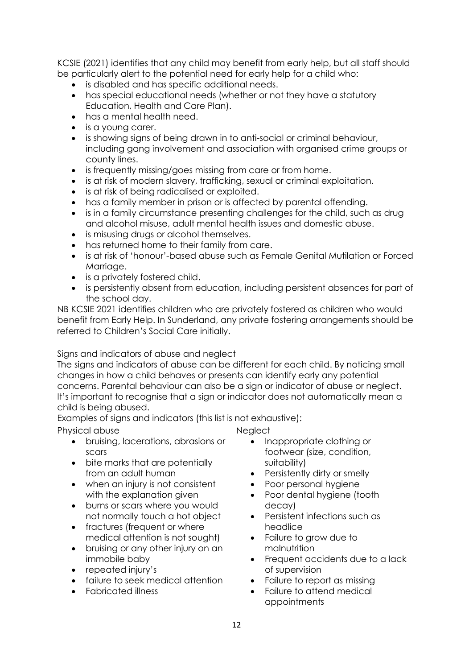KCSIE (2021) identifies that any child may benefit from early help, but all staff should be particularly alert to the potential need for early help for a child who:

- is disabled and has specific additional needs.
- has special educational needs (whether or not they have a statutory Education, Health and Care Plan).
- has a mental health need.
- is a young carer.
- is showing signs of being drawn in to anti-social or criminal behaviour, including gang involvement and association with organised crime groups or county lines.
- is frequently missing/goes missing from care or from home.
- is at risk of modern slavery, trafficking, sexual or criminal exploitation.
- is at risk of being radicalised or exploited.
- has a family member in prison or is affected by parental offending.
- is in a family circumstance presenting challenges for the child, such as drug and alcohol misuse, adult mental health issues and domestic abuse.
- is misusing drugs or alcohol themselves.
- has returned home to their family from care.
- is at risk of 'honour'-based abuse such as Female Genital Mutilation or Forced Marriage.
- is a privately fostered child.
- is persistently absent from education, including persistent absences for part of the school day.

NB KCSIE 2021 identifies children who are privately fostered as children who would benefit from Early Help. In Sunderland, any private fostering arrangements should be referred to Children's Social Care initially.

<span id="page-11-0"></span>Signs and indicators of abuse and neglect

The signs and indicators of abuse can be different for each child. By noticing small changes in how a child behaves or presents can identify early any potential concerns. Parental behaviour can also be a sign or indicator of abuse or neglect. It's important to recognise that a sign or indicator does not automatically mean a child is being abused.

Examples of signs and indicators (this list is not exhaustive):

<span id="page-11-1"></span>Physical abuse Neglect

- bruising, lacerations, abrasions or scars
- bite marks that are potentially from an adult human
- when an injury is not consistent with the explanation given
- burns or scars where you would not normally touch a hot object
- fractures (frequent or where medical attention is not sought)
- bruising or any other injury on an immobile baby
- repeated injury's
- **•** failure to seek medical attention
- Fabricated illness

<span id="page-11-2"></span>• Inappropriate clothing or footwear (size, condition, suitability)

- Persistently dirty or smelly
- Poor personal hygiene
- Poor dental hygiene (tooth decay)
- Persistent infections such as headlice
- Failure to grow due to malnutrition
- Frequent accidents due to a lack of supervision
- Failure to report as missing
- Failure to attend medical appointments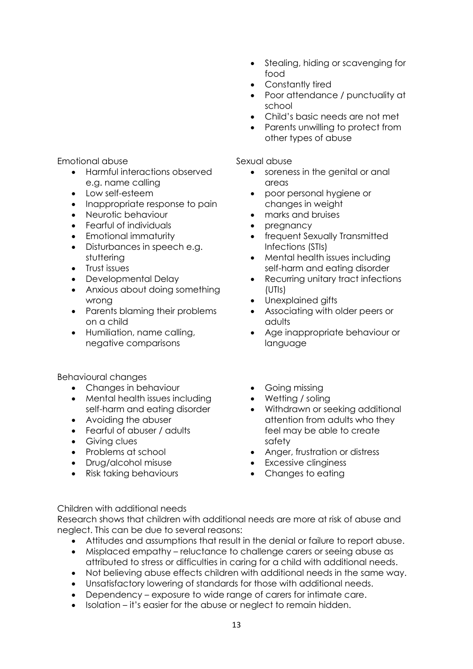# <span id="page-12-0"></span>Emotional abuse Sexual abuse

- Harmful interactions observed e.g. name calling
- Low self-esteem
- Inappropriate response to pain
- · Neurotic behaviour
- Fearful of individuals
- Emotional immaturity
- Disturbances in speech e.g. stuttering
- Trust issues
- Developmental Delay
- Anxious about doing something wrong
- Parents blaming their problems on a child
- Humiliation, name calling, negative comparisons

<span id="page-12-2"></span>Behavioural changes

- Changes in behaviour
- Mental health issues including self-harm and eating disorder
- Avoiding the abuser
- Fearful of abuser / adults
- Giving clues
- Problems at school
- Drug/alcohol misuse
- Risk taking behaviours
- Stealing, hiding or scavenging for food
- Constantly tired
- Poor attendance / punctuality at school
- Child's basic needs are not met
- Parents unwilling to protect from other types of abuse

- <span id="page-12-1"></span> soreness in the genital or anal areas
- poor personal hygiene or changes in weight
- marks and bruises
- pregnancy
- frequent Sexually Transmitted Infections (STIs)
- Mental health issues including self-harm and eating disorder
- Recurring unitary tract infections (UTIs)
- Unexplained aifts
- Associating with older peers or adults
- Age inappropriate behaviour or language
- Going missing
- Wetting / soling
- Withdrawn or seeking additional attention from adults who they feel may be able to create safety
- Anger, frustration or distress
- Excessive clinginess
- Changes to eating

# <span id="page-12-3"></span>Children with additional needs

Research shows that children with additional needs are more at risk of abuse and neglect. This can be due to several reasons:

- Attitudes and assumptions that result in the denial or failure to report abuse.
- Misplaced empathy reluctance to challenge carers or seeing abuse as attributed to stress or difficulties in caring for a child with additional needs.
- Not believing abuse effects children with additional needs in the same way.
- Unsatisfactory lowering of standards for those with additional needs.
- Dependency exposure to wide range of carers for intimate care.
- Isolation it's easier for the abuse or neglect to remain hidden.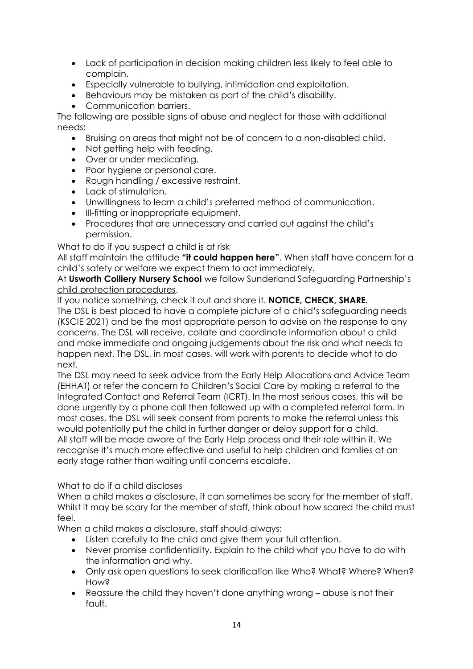- Lack of participation in decision making children less likely to feel able to complain.
- Especially vulnerable to bullying, intimidation and exploitation.
- Behaviours may be mistaken as part of the child's disability.
- Communication barriers.

The following are possible signs of abuse and neglect for those with additional needs:

- Bruising on areas that might not be of concern to a non-disabled child.
- Not getting help with feeding.
- Over or under medicating.
- Poor hygiene or personal care.
- Rough handling / excessive restraint.
- Lack of stimulation.
- Unwillingness to learn a child's preferred method of communication.
- Ill-fitting or inappropriate equipment.
- Procedures that are unnecessary and carried out against the child's permission.

#### <span id="page-13-0"></span>What to do if you suspect a child is at risk

All staff maintain the attitude **"it could happen here"**. When staff have concern for a child's safety or welfare we expect them to act immediately.

#### At **Usworth Colliery Nursery School** we follow [Sunderland Safeguarding Partnership's](https://www.proceduresonline.com/nesubregion/)  [child protection procedures.](https://www.proceduresonline.com/nesubregion/)

If you notice something, check it out and share it. **NOTICE, CHECK, SHARE.**

The DSL is best placed to have a complete picture of a child's safeguarding needs (KSCIE 2021) and be the most appropriate person to advise on the response to any concerns. The DSL will receive, collate and coordinate information about a child and make immediate and ongoing judgements about the risk and what needs to happen next. The DSL, in most cases, will work with parents to decide what to do next.

The DSL may need to seek advice from the Early Help Allocations and Advice Team (EHHAT) or refer the concern to Children's Social Care by making a referral to the Integrated Contact and Referral Team (ICRT). In the most serious cases, this will be done urgently by a phone call then followed up with a completed referral form. In most cases, the DSL will seek consent from parents to make the referral unless this would potentially put the child in further danger or delay support for a child. All staff will be made aware of the Early Help process and their role within it. We recognise it's much more effective and useful to help children and families at an early stage rather than waiting until concerns escalate.

<span id="page-13-1"></span>What to do if a child discloses

When a child makes a disclosure, it can sometimes be scary for the member of staff. Whilst it may be scary for the member of staff, think about how scared the child must feel.

When a child makes a disclosure, staff should always:

- Listen carefully to the child and give them your full attention.
- Never promise confidentiality. Explain to the child what you have to do with the information and why.
- Only ask open questions to seek clarification like Who? What? Where? When? How?
- Reassure the child they haven't done anything wrong abuse is not their fault.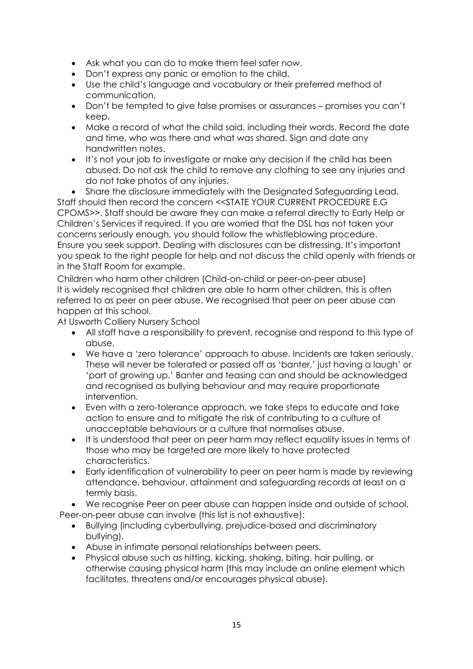- Ask what you can do to make them feel safer now.
- Don't express any panic or emotion to the child.
- Use the child's language and vocabulary or their preferred method of communication.
- Don't be tempted to give false promises or assurances promises you can't keep.
- Make a record of what the child said, including their words. Record the date and time, who was there and what was shared. Sign and date any handwritten notes.
- It's not your job to investigate or make any decision if the child has been abused. Do not ask the child to remove any clothing to see any injuries and do not take photos of any injuries.

 Share the disclosure immediately with the Designated Safeguarding Lead. Staff should then record the concern <<STATE YOUR CURRENT PROCEDURE E.G CPOMS>>. Staff should be aware they can make a referral directly to Early Help or Children's Services if required. If you are worried that the DSL has not taken your concerns seriously enough, you should follow the whistleblowing procedure. Ensure you seek support. Dealing with disclosures can be distressing. It's important you speak to the right people for help and not discuss the child openly with friends or in the Staff Room for example.

<span id="page-14-0"></span>Children who harm other children (Child-on-child or peer-on-peer abuse) It is widely recognised that children are able to harm other children, this is often referred to as peer on peer abuse. We recognised that peer on peer abuse can happen at this school.

At Usworth Colliery Nursery School

- All staff have a responsibility to prevent, recognise and respond to this type of abuse.
- We have a 'zero tolerance' approach to abuse. Incidents are taken seriously. These will never be tolerated or passed off as 'banter,' just having a laugh' or 'part of growing up.' Banter and teasing can and should be acknowledged and recognised as bullying behaviour and may require proportionate intervention.
- Even with a zero-tolerance approach, we take steps to educate and take action to ensure and to mitigate the risk of contributing to a culture of unacceptable behaviours or a culture that normalises abuse.
- It is understood that peer on peer harm may reflect equality issues in terms of those who may be targeted are more likely to have protected characteristics.
- Early identification of vulnerability to peer on peer harm is made by reviewing attendance, behaviour, attainment and safeguarding records at least on a termly basis.

 We recognise Peer on peer abuse can happen inside and outside of school. Peer-on-peer abuse can involve (this list is not exhaustive):

- Bullying (including cyberbullying, prejudice-based and discriminatory bullying).
- Abuse in intimate personal relationships between peers.
- Physical abuse such as hitting, kicking, shaking, biting, hair pulling, or otherwise causing physical harm (this may include an online element which facilitates, threatens and/or encourages physical abuse).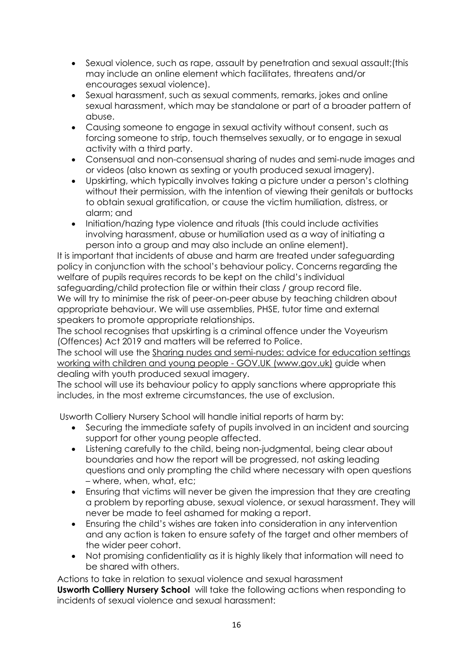- Sexual violence, such as rape, assault by penetration and sexual assault;(this may include an online element which facilitates, threatens and/or encourages sexual violence).
- Sexual harassment, such as sexual comments, remarks, jokes and online sexual harassment, which may be standalone or part of a broader pattern of abuse.
- Causing someone to engage in sexual activity without consent, such as forcing someone to strip, touch themselves sexually, or to engage in sexual activity with a third party.
- Consensual and non-consensual sharing of nudes and semi-nude images and or videos (also known as sexting or youth produced sexual imagery).
- Upskirting, which typically involves taking a picture under a person's clothing without their permission, with the intention of viewing their genitals or buttocks to obtain sexual gratification, or cause the victim humiliation, distress, or alarm; and
- Initiation/hazing type violence and rituals (this could include activities involving harassment, abuse or humiliation used as a way of initiating a person into a group and may also include an online element).

It is important that incidents of abuse and harm are treated under safeguarding policy in conjunction with the school's behaviour policy. Concerns regarding the welfare of pupils requires records to be kept on the child's individual

safeguarding/child protection file or within their class / group record file. We will try to minimise the risk of peer-on-peer abuse by teaching children about appropriate behaviour. We will use assemblies, PHSE, tutor time and external speakers to promote appropriate relationships.

The school recognises that upskirting is a criminal offence under the Voyeurism (Offences) Act 2019 and matters will be referred to Police.

The school will use the [Sharing nudes and semi-nudes: advice for education settings](https://www.gov.uk/government/publications/sharing-nudes-and-semi-nudes-advice-for-education-settings-working-with-children-and-young-people/sharing-nudes-and-semi-nudes-advice-for-education-settings-working-with-children-and-young-people)  [working with children and young people -](https://www.gov.uk/government/publications/sharing-nudes-and-semi-nudes-advice-for-education-settings-working-with-children-and-young-people/sharing-nudes-and-semi-nudes-advice-for-education-settings-working-with-children-and-young-people) GOV.UK (www.gov.uk) guide when dealing with youth produced sexual imagery.

The school will use its behaviour policy to apply sanctions where appropriate this includes, in the most extreme circumstances, the use of exclusion.

Usworth Colliery Nursery School will handle initial reports of harm by:

- Securing the immediate safety of pupils involved in an incident and sourcing support for other young people affected.
- Listening carefully to the child, being non-judgmental, being clear about boundaries and how the report will be progressed, not asking leading questions and only prompting the child where necessary with open questions – where, when, what, etc;
- Ensuring that victims will never be given the impression that they are creating a problem by reporting abuse, sexual violence, or sexual harassment. They will never be made to feel ashamed for making a report.
- Ensuring the child's wishes are taken into consideration in any intervention and any action is taken to ensure safety of the target and other members of the wider peer cohort.
- Not promising confidentiality as it is highly likely that information will need to be shared with others.

<span id="page-15-0"></span>Actions to take in relation to sexual violence and sexual harassment

**Usworth Colliery Nursery School** will take the following actions when responding to incidents of sexual violence and sexual harassment: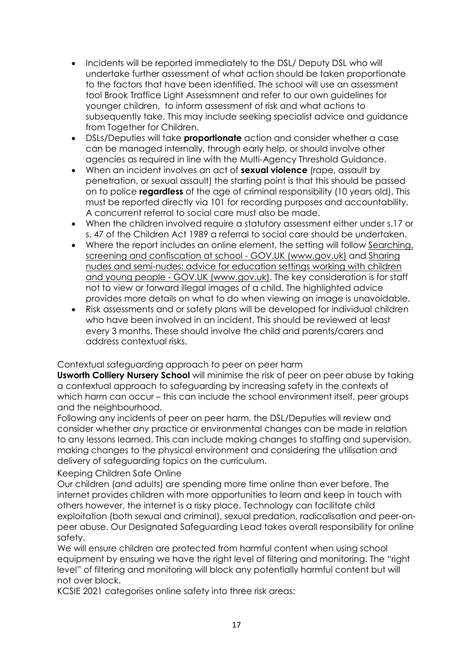- Incidents will be reported immediately to the DSL/ Deputy DSL who will undertake further assessment of what action should be taken proportionate to the factors that have been identified. The school will use an assessment tool Brook Traffice Light Assessmnent and refer to our own guidelines for younger children, to inform assessment of risk and what actions to subsequently take. This may include seeking specialist advice and guidance from Together for Children.
- DSLs/Deputies will take **proportionate** action and consider whether a case can be managed internally, through early help, or should involve other agencies as required in line with the Multi-Agency Threshold Guidance.
- When an incident involves an act of **sexual violence** (rape, assault by penetration, or sexual assault) the starting point is that this should be passed on to police **regardless** of the age of criminal responsibility (10 years old). This must be reported directly via 101 for recording purposes and accountability. A concurrent referral to social care must also be made.
- When the children involved require a statutory assessment either under s.17 or s. 47 of the Children Act 1989 a referral to social care should be undertaken.
- Where the report includes an online element, the setting will follow [Searching,](https://www.gov.uk/government/publications/searching-screening-and-confiscation)  [screening and confiscation at school -](https://www.gov.uk/government/publications/searching-screening-and-confiscation) GOV.UK (www.gov.uk) and [Sharing](https://www.gov.uk/government/publications/sharing-nudes-and-semi-nudes-advice-for-education-settings-working-with-children-and-young-people)  [nudes and semi-nudes: advice for education settings working with children](https://www.gov.uk/government/publications/sharing-nudes-and-semi-nudes-advice-for-education-settings-working-with-children-and-young-people)  and young people - [GOV.UK \(www.gov.uk\).](https://www.gov.uk/government/publications/sharing-nudes-and-semi-nudes-advice-for-education-settings-working-with-children-and-young-people) The key consideration is for staff not to view or forward illegal images of a child. The highlighted advice provides more details on what to do when viewing an image is unavoidable.
- Risk assessments and or safety plans will be developed for individual children who have been involved in an incident. This should be reviewed at least every 3 months. These should involve the child and parents/carers and address contextual risks.

<span id="page-16-0"></span>Contextual safeguarding approach to peer on peer harm

**Usworth Colliery Nursery School** will minimise the risk of peer on peer abuse by taking a contextual approach to safeguarding by increasing safety in the contexts of which harm can occur – this can include the school environment itself, peer groups and the neighbourhood.

Following any incidents of peer on peer harm, the DSL/Deputies will review and consider whether any practice or environmental changes can be made in relation to any lessons learned. This can include making changes to staffing and supervision, making changes to the physical environment and considering the utilisation and delivery of safeguarding topics on the curriculum.

<span id="page-16-1"></span>Keeping Children Safe Online

Our children (and adults) are spending more time online than ever before. The internet provides children with more opportunities to learn and keep in touch with others however, the internet is a risky place. Technology can facilitate child exploitation (both sexual and criminal), sexual predation, radicalisation and peer-onpeer abuse. Our Designated Safeguarding Lead takes overall responsibility for online safety.

We will ensure children are protected from harmful content when using school equipment by ensuring we have the right level of filtering and monitoring. The "right level" of filtering and monitoring will block any potentially harmful content but will not over block.

KCSIE 2021 categorises online safety into three risk areas: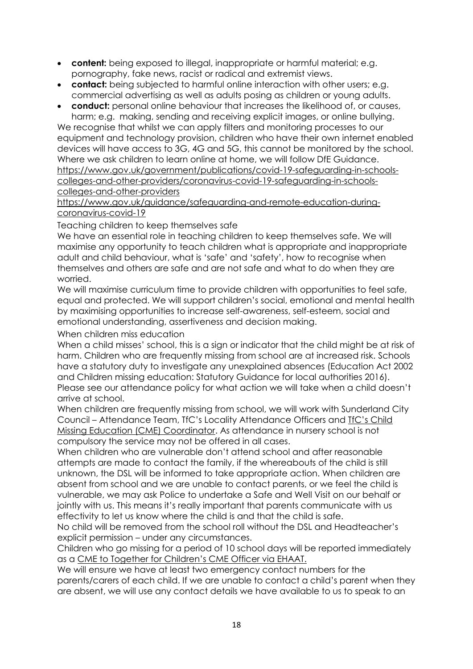- **content:** being exposed to illegal, inappropriate or harmful material; e.g. pornography, fake news, racist or radical and extremist views.
- **contact:** being subjected to harmful online interaction with other users; e.g. commercial advertising as well as adults posing as children or young adults.
- **conduct:** personal online behaviour that increases the likelihood of, or causes, harm; e.g. making, sending and receiving explicit images, or online bullying.

We recognise that whilst we can apply filters and monitoring processes to our equipment and technology provision, children who have their own internet enabled devices will have access to 3G, 4G and 5G, this cannot be monitored by the school. Where we ask children to learn online at home, we will follow DfE Guidance. [https://www.gov.uk/government/publications/covid-19-safeguarding-in-schools](https://www.gov.uk/government/publications/covid-19-safeguarding-in-schools-colleges-and-other-providers/coronavirus-covid-19-safeguarding-in-schools-colleges-and-other-providers)[colleges-and-other-providers/coronavirus-covid-19-safeguarding-in-schools](https://www.gov.uk/government/publications/covid-19-safeguarding-in-schools-colleges-and-other-providers/coronavirus-covid-19-safeguarding-in-schools-colleges-and-other-providers)[colleges-and-other-providers](https://www.gov.uk/government/publications/covid-19-safeguarding-in-schools-colleges-and-other-providers/coronavirus-covid-19-safeguarding-in-schools-colleges-and-other-providers)

[https://www.gov.uk/guidance/safeguarding-and-remote-education-during](https://www.gov.uk/guidance/safeguarding-and-remote-education-during-coronavirus-covid-19)[coronavirus-covid-19](https://www.gov.uk/guidance/safeguarding-and-remote-education-during-coronavirus-covid-19)

<span id="page-17-0"></span>Teaching children to keep themselves safe

We have an essential role in teaching children to keep themselves safe. We will maximise any opportunity to teach children what is appropriate and inappropriate adult and child behaviour, what is 'safe' and 'safety', how to recognise when themselves and others are safe and are not safe and what to do when they are worried.

We will maximise curriculum time to provide children with opportunities to feel safe, equal and protected. We will support children's social, emotional and mental health by maximising opportunities to increase self-awareness, self-esteem, social and emotional understanding, assertiveness and decision making.

<span id="page-17-1"></span>When children miss education

When a child misses' school, this is a sign or indicator that the child might be at risk of harm. Children who are frequently missing from school are at increased risk. Schools have a statutory duty to investigate any unexplained absences (Education Act 2002 and Children missing education: Statutory Guidance for local authorities 2016). Please see our attendance policy for what action we will take when a child doesn't arrive at school.

When children are frequently missing from school, we will work with Sunderland City Council – Attendance Team, TfC's Locality Attendance Officers and [TfC's Child](https://www.togetherforchildren.org.uk/schools/children-missing-education)  [Missing Education \(CME\) Coordinator.](https://www.togetherforchildren.org.uk/schools/children-missing-education) As attendance in nursery school is not compulsory the service may not be offered in all cases.

When children who are vulnerable don't attend school and after reasonable attempts are made to contact the family, if the whereabouts of the child is still unknown, the DSL will be informed to take appropriate action. When children are absent from school and we are unable to contact parents, or we feel the child is vulnerable, we may ask Police to undertake a Safe and Well Visit on our behalf or jointly with us. This means it's really important that parents communicate with us effectivity to let us know where the child is and that the child is safe.

No child will be removed from the school roll without the DSL and Headteacher's explicit permission – under any circumstances.

Children who go missing for a period of 10 school days will be reported immediately as a [CME to Together for Children's CME Officer via EHAAT.](https://www.togetherforchildren.org.uk/schools/children-missing-education)

We will ensure we have at least two emergency contact numbers for the parents/carers of each child. If we are unable to contact a child's parent when they are absent, we will use any contact details we have available to us to speak to an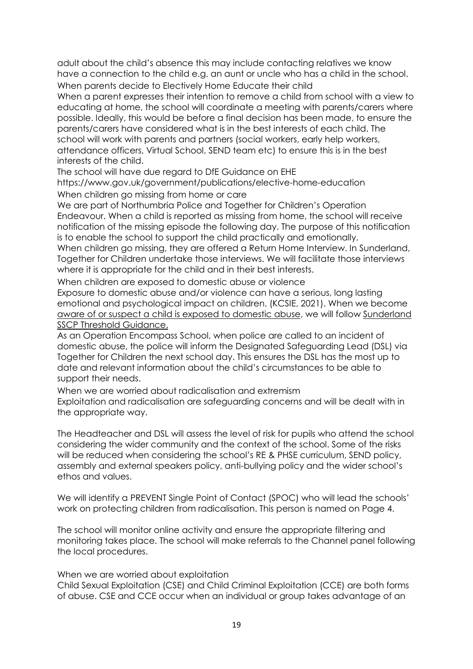adult about the child's absence this may include contacting relatives we know have a connection to the child e.g. an aunt or uncle who has a child in the school.

<span id="page-18-0"></span>When parents decide to Electively Home Educate their child

When a parent expresses their intention to remove a child from school with a view to educating at home, the school will coordinate a meeting with parents/carers where possible. Ideally, this would be before a final decision has been made, to ensure the parents/carers have considered what is in the best interests of each child. The school will work with parents and partners (social workers, early help workers, attendance officers, Virtual School, SEND team etc) to ensure this is in the best interests of the child.

The school will have due regard to DfE Guidance on EHE

<span id="page-18-1"></span>https://www.gov.uk/government/publications/elective-home-education When children go missing from home or care

We are part of Northumbria Police and Together for Children's Operation Endeavour. When a child is reported as missing from home, the school will receive notification of the missing episode the following day. The purpose of this notification is to enable the school to support the child practically and emotionally.

When children go missing, they are offered a Return Home Interview. In Sunderland, Together for Children undertake those interviews. We will facilitate those interviews where it is appropriate for the child and in their best interests.

<span id="page-18-2"></span>When children are exposed to domestic abuse or violence

Exposure to domestic abuse and/or violence can have a serious, long lasting emotional and psychological impact on children. (KCSIE, 2021). When we become [aware of or suspect a child is exposed to domestic abuse,](https://www.nspcc.org.uk/what-is-child-abuse/types-of-abuse/domestic-abuse/) we will follow [Sunderland](https://www.togetherforchildren.org.uk/sites/default/files/2018-11/SSCB%20Multi%20Agency%20Guide%20to%20Our%20Thresholds%20of%20Need%20V4%2019.11.18%20final_0.pdf)  [SSCP Threshold Guidance.](https://www.togetherforchildren.org.uk/sites/default/files/2018-11/SSCB%20Multi%20Agency%20Guide%20to%20Our%20Thresholds%20of%20Need%20V4%2019.11.18%20final_0.pdf)

As an Operation Encompass School, when police are called to an incident of domestic abuse, the police will inform the Designated Safeguarding Lead (DSL) via Together for Children the next school day. This ensures the DSL has the most up to date and relevant information about the child's circumstances to be able to support their needs.

<span id="page-18-3"></span>When we are worried about radicalisation and extremism

Exploitation and radicalisation are safeguarding concerns and will be dealt with in the appropriate way.

The Headteacher and DSL will assess the level of risk for pupils who attend the school considering the wider community and the context of the school. Some of the risks will be reduced when considering the school's RE & PHSE curriculum, SEND policy, assembly and external speakers policy, anti-bullying policy and the wider school's ethos and values.

We will identify a PREVENT Single Point of Contact (SPOC) who will lead the schools' work on protecting children from radicalisation. This person is named on Page 4.

The school will monitor online activity and ensure the appropriate filtering and monitoring takes place. The school will make referrals to the Channel panel following the local procedures.

<span id="page-18-4"></span>When we are worried about exploitation

Child Sexual Exploitation (CSE) and Child Criminal Exploitation (CCE) are both forms of abuse. CSE and CCE occur when an individual or group takes advantage of an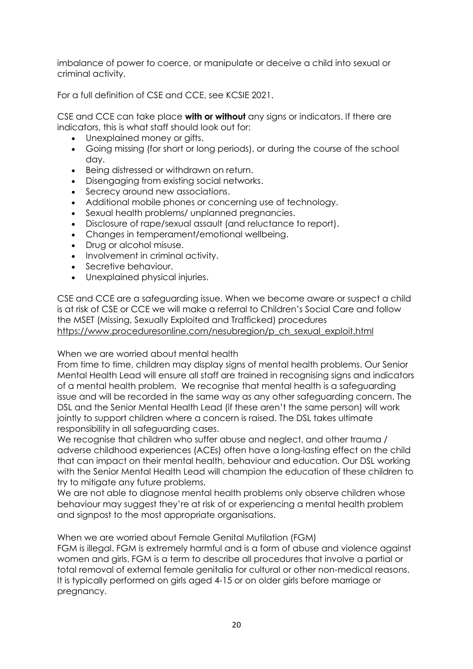imbalance of power to coerce, or manipulate or deceive a child into sexual or criminal activity.

For a full definition of CSE and CCE, see KCSIE 2021.

CSE and CCE can take place **with or without** any signs or indicators. If there are indicators, this is what staff should look out for:

- Unexplained money or aifts.
- Going missing (for short or long periods), or during the course of the school day.
- Being distressed or withdrawn on return.
- Disengaging from existing social networks.
- Secrecy around new associations.
- Additional mobile phones or concerning use of technology.
- Sexual health problems/ unplanned pregnancies.
- Disclosure of rape/sexual assault (and reluctance to report).
- Changes in temperament/emotional wellbeing.
- Drug or alcohol misuse.
- Involvement in criminal activity.
- Secretive behaviour.
- Unexplained physical injuries.

CSE and CCE are a safeguarding issue. When we become aware or suspect a child is at risk of CSE or CCE we will make a referral to Children's Social Care and follow the MSET (Missing, Sexually Exploited and Trafficked) procedures [https://www.proceduresonline.com/nesubregion/p\\_ch\\_sexual\\_exploit.html](https://www.proceduresonline.com/nesubregion/p_ch_sexual_exploit.html)

<span id="page-19-0"></span>When we are worried about mental health

From time to time, children may display signs of mental health problems. Our Senior Mental Health Lead will ensure all staff are trained in recognising signs and indicators of a mental health problem. We recognise that mental health is a safeguarding issue and will be recorded in the same way as any other safeguarding concern. The DSL and the Senior Mental Health Lead (if these aren't the same person) will work jointly to support children where a concern is raised. The DSL takes ultimate responsibility in all safeguarding cases.

We recognise that children who suffer abuse and neglect, and other trauma / adverse childhood experiences (ACEs) often have a long-lasting effect on the child that can impact on their mental health, behaviour and education. Our DSL working with the Senior Mental Health Lead will champion the education of these children to try to mitigate any future problems.

We are not able to diagnose mental health problems only observe children whose behaviour may suggest they're at risk of or experiencing a mental health problem and signpost to the most appropriate organisations.

<span id="page-19-1"></span>When we are worried about Female Genital Mutilation (FGM)

FGM is illegal. FGM is extremely harmful and is a form of abuse and violence against women and girls. FGM is a term to describe all procedures that involve a partial or total removal of external female genitalia for cultural or other non-medical reasons. It is typically performed on girls aged 4-15 or on older girls before marriage or pregnancy.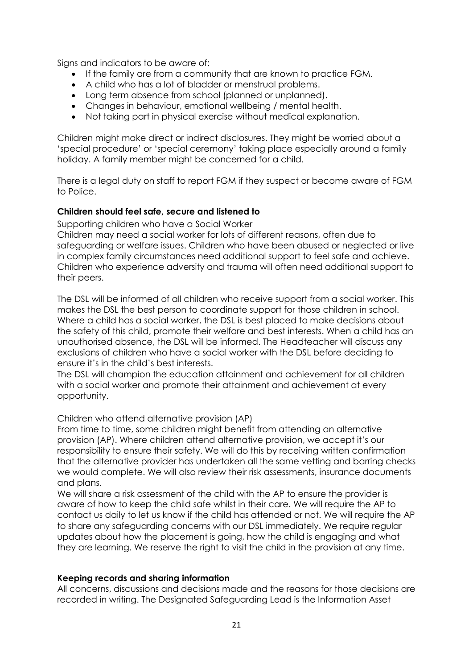Signs and indicators to be aware of:

- If the family are from a community that are known to practice FGM.
- A child who has a lot of bladder or menstrual problems.
- Long term absence from school (planned or unplanned).
- Changes in behaviour, emotional wellbeing / mental health.
- Not taking part in physical exercise without medical explanation.

Children might make direct or indirect disclosures. They might be worried about a 'special procedure' or 'special ceremony' taking place especially around a family holiday. A family member might be concerned for a child.

There is a legal duty on staff to report FGM if they suspect or become aware of FGM to Police.

#### <span id="page-20-0"></span>**Children should feel safe, secure and listened to**

<span id="page-20-1"></span>Supporting children who have a Social Worker

Children may need a social worker for lots of different reasons, often due to safeguarding or welfare issues. Children who have been abused or neglected or live in complex family circumstances need additional support to feel safe and achieve. Children who experience adversity and trauma will often need additional support to their peers.

The DSL will be informed of all children who receive support from a social worker. This makes the DSL the best person to coordinate support for those children in school. Where a child has a social worker, the DSL is best placed to make decisions about the safety of this child, promote their welfare and best interests. When a child has an unauthorised absence, the DSL will be informed. The Headteacher will discuss any exclusions of children who have a social worker with the DSL before deciding to ensure it's in the child's best interests.

The DSL will champion the education attainment and achievement for all children with a social worker and promote their attainment and achievement at every opportunity.

<span id="page-20-2"></span>Children who attend alternative provision (AP)

From time to time, some children might benefit from attending an alternative provision (AP). Where children attend alternative provision, we accept it's our responsibility to ensure their safety. We will do this by receiving written confirmation that the alternative provider has undertaken all the same vetting and barring checks we would complete. We will also review their risk assessments, insurance documents and plans.

We will share a risk assessment of the child with the AP to ensure the provider is aware of how to keep the child safe whilst in their care. We will require the AP to contact us daily to let us know if the child has attended or not. We will require the AP to share any safeguarding concerns with our DSL immediately. We require regular updates about how the placement is going, how the child is engaging and what they are learning. We reserve the right to visit the child in the provision at any time.

#### <span id="page-20-3"></span>**Keeping records and sharing information**

All concerns, discussions and decisions made and the reasons for those decisions are recorded in writing. The Designated Safeguarding Lead is the Information Asset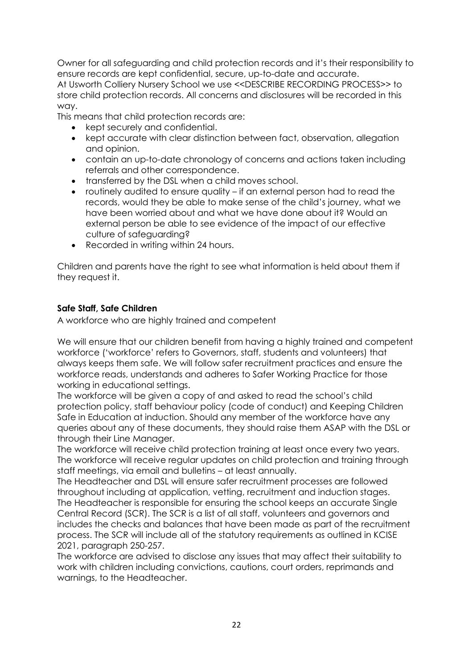Owner for all safeguarding and child protection records and it's their responsibility to ensure records are kept confidential, secure, up-to-date and accurate. At Usworth Colliery Nursery School we use <<DESCRIBE RECORDING PROCESS>> to store child protection records. All concerns and disclosures will be recorded in this way.

This means that child protection records are:

- kept securely and confidential.
- kept accurate with clear distinction between fact, observation, allegation and opinion.
- contain an up-to-date chronology of concerns and actions taken including referrals and other correspondence.
- transferred by the DSL when a child moves school.
- routinely audited to ensure quality if an external person had to read the records, would they be able to make sense of the child's journey, what we have been worried about and what we have done about it? Would an external person be able to see evidence of the impact of our effective culture of safeguarding?
- Recorded in writing within 24 hours.

Children and parents have the right to see what information is held about them if they request it.

### <span id="page-21-0"></span>**Safe Staff, Safe Children**

<span id="page-21-1"></span>A workforce who are highly trained and competent

We will ensure that our children benefit from having a highly trained and competent workforce ('workforce' refers to Governors, staff, students and volunteers) that always keeps them safe. We will follow safer recruitment practices and ensure the workforce reads, understands and adheres to Safer Working Practice for those working in educational settings.

The workforce will be given a copy of and asked to read the school's child protection policy, staff behaviour policy (code of conduct) and Keeping Children Safe in Education at induction. Should any member of the workforce have any queries about any of these documents, they should raise them ASAP with the DSL or through their Line Manager.

The workforce will receive child protection training at least once every two years. The workforce will receive regular updates on child protection and training through staff meetings, via email and bulletins – at least annually.

The Headteacher and DSL will ensure safer recruitment processes are followed throughout including at application, vetting, recruitment and induction stages. The Headteacher is responsible for ensuring the school keeps an accurate Single Central Record (SCR). The SCR is a list of all staff, volunteers and governors and includes the checks and balances that have been made as part of the recruitment process. The SCR will include all of the statutory requirements as outlined in KCISE 2021, paragraph 250-257.

The workforce are advised to disclose any issues that may affect their suitability to work with children including convictions, cautions, court orders, reprimands and warnings, to the Headteacher.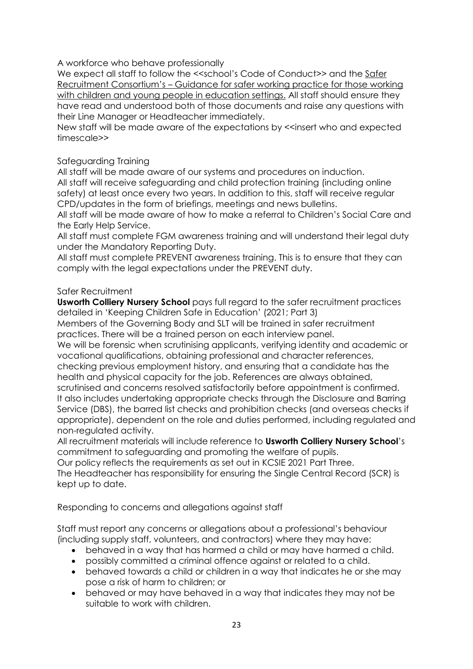<span id="page-22-0"></span>A workforce who behave professionally

We expect all staff to follow the <<school's Code of Conduct>> and the Safer Recruitment Consortium's – [Guidance for safer working practice for those working](https://www.saferrecruitmentconsortium.org/GSWP%20Sept%202019.pdf?__cf_chl_jschl_tk__=939dd47bfe65f38154e995f7c7096f223939f1a5-1597661340-0-Adc4mucIvAnSjr9rOorNqTS5t9BVETmxvBt_9nNBbPFxsjybyVPDcllyof6r5UL5aZe8RdVgvFY6Unil4ZiMWs7GPJ6eB8AxGrh5Dye-GX7kDtf26WvMWDGCqsHPw1n7E8KifAxKSvyB_TL-kQu0T8JcoOLP3gN_juUFGYajSREu5k9dM50sNDZAyzUZPCvaWhigpqsaG83G7UcioTD0vj2WP5YI5nSOSuOwN4M6rg9jk0EZnA0aplw15o9RozVrD60pSXvfsAUplgYJG2VFNYSkIrHbo8Kn6HeCZrApdaGLoX-wsAVjnbPq7CjWsOuoFw)  [with children and young people in education settings.](https://www.saferrecruitmentconsortium.org/GSWP%20Sept%202019.pdf?__cf_chl_jschl_tk__=939dd47bfe65f38154e995f7c7096f223939f1a5-1597661340-0-Adc4mucIvAnSjr9rOorNqTS5t9BVETmxvBt_9nNBbPFxsjybyVPDcllyof6r5UL5aZe8RdVgvFY6Unil4ZiMWs7GPJ6eB8AxGrh5Dye-GX7kDtf26WvMWDGCqsHPw1n7E8KifAxKSvyB_TL-kQu0T8JcoOLP3gN_juUFGYajSREu5k9dM50sNDZAyzUZPCvaWhigpqsaG83G7UcioTD0vj2WP5YI5nSOSuOwN4M6rg9jk0EZnA0aplw15o9RozVrD60pSXvfsAUplgYJG2VFNYSkIrHbo8Kn6HeCZrApdaGLoX-wsAVjnbPq7CjWsOuoFw) All staff should ensure they have read and understood both of those documents and raise any questions with their Line Manager or Headteacher immediately.

New staff will be made aware of the expectations by  $\le$  insert who and expected timescale>>

#### <span id="page-22-1"></span>Safeguarding Training

All staff will be made aware of our systems and procedures on induction. All staff will receive safeguarding and child protection training (including online safety) at least once every two years. In addition to this, staff will receive regular CPD/updates in the form of briefings, meetings and news bulletins.

All staff will be made aware of how to make a referral to Children's Social Care and the Early Help Service.

All staff must complete FGM awareness training and will understand their legal duty under the Mandatory Reporting Duty.

All staff must complete PREVENT awareness training. This is to ensure that they can comply with the legal expectations under the PREVENT duty.

#### <span id="page-22-2"></span>Safer Recruitment

**Usworth Colliery Nursery School** pays full regard to the safer recruitment practices detailed in 'Keeping Children Safe in Education' (2021; Part 3)

Members of the Governing Body and SLT will be trained in safer recruitment practices. There will be a trained person on each interview panel.

We will be forensic when scrutinising applicants, verifying identity and academic or vocational qualifications, obtaining professional and character references,

checking previous employment history, and ensuring that a candidate has the health and physical capacity for the job. References are always obtained,

scrutinised and concerns resolved satisfactorily before appointment is confirmed. It also includes undertaking appropriate checks through the Disclosure and Barring Service (DBS), the barred list checks and prohibition checks (and overseas checks if appropriate), dependent on the role and duties performed, including regulated and non-regulated activity.

All recruitment materials will include reference to **Usworth Colliery Nursery School**'s commitment to safeguarding and promoting the welfare of pupils.

Our policy reflects the requirements as set out in KCSIE 2021 Part Three.

The Headteacher has responsibility for ensuring the Single Central Record (SCR) is kept up to date.

#### <span id="page-22-3"></span>Responding to concerns and allegations against staff

Staff must report any concerns or allegations about a professional's behaviour (including supply staff, volunteers, and contractors) where they may have:

- behaved in a way that has harmed a child or may have harmed a child.
- possibly committed a criminal offence against or related to a child.
- behaved towards a child or children in a way that indicates he or she may pose a risk of harm to children; or
- behaved or may have behaved in a way that indicates they may not be suitable to work with children.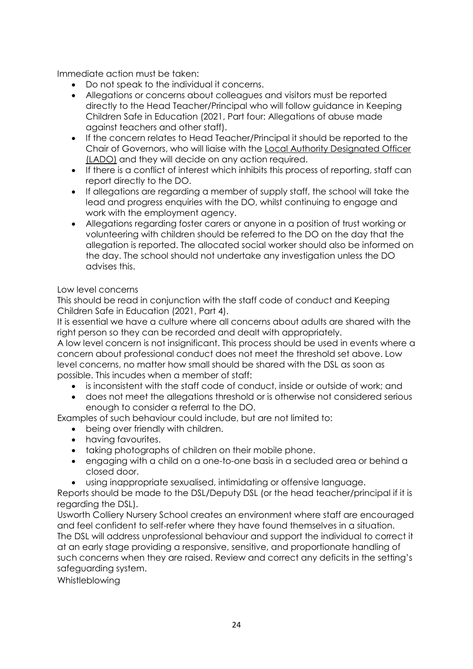Immediate action must be taken:

- Do not speak to the individual it concerns.
- Allegations or concerns about colleagues and visitors must be reported directly to the Head Teacher/Principal who will follow guidance in Keeping Children Safe in Education (2021, Part four: Allegations of abuse made against teachers and other staff).
- If the concern relates to Head Teacher/Principal it should be reported to the Chair of Governors, who will liaise with the Local Authority Designated Officer (LADO) and they will decide on any action required.
- If there is a conflict of interest which inhibits this process of reporting, staff can report directly to the DO.
- If allegations are regarding a member of supply staff, the school will take the lead and progress enquiries with the DO, whilst continuing to engage and work with the employment agency.
- Allegations regarding foster carers or anyone in a position of trust working or volunteering with children should be referred to the DO on the day that the allegation is reported. The allocated social worker should also be informed on the day. The school should not undertake any investigation unless the DO advises this.

#### <span id="page-23-0"></span>Low level concerns

This should be read in conjunction with the staff code of conduct and Keeping Children Safe in Education (2021, Part 4).

It is essential we have a culture where all concerns about adults are shared with the right person so they can be recorded and dealt with appropriately.

A low level concern is not insignificant. This process should be used in events where a concern about professional conduct does not meet the threshold set above. Low level concerns, no matter how small should be shared with the DSL as soon as possible. This incudes when a member of staff:

- is inconsistent with the staff code of conduct, inside or outside of work; and
- does not meet the allegations threshold or is otherwise not considered serious enough to consider a referral to the DO.

Examples of such behaviour could include, but are not limited to:

- being over friendly with children.
- having favourites.
- taking photographs of children on their mobile phone.
- engaging with a child on a one-to-one basis in a secluded area or behind a closed door.
- using inappropriate sexualised, intimidating or offensive language.

Reports should be made to the DSL/Deputy DSL (or the head teacher/principal if it is regarding the DSL).

Usworth Colliery Nursery School creates an environment where staff are encouraged and feel confident to self-refer where they have found themselves in a situation. The DSL will address unprofessional behaviour and support the individual to correct it at an early stage providing a responsive, sensitive, and proportionate handling of such concerns when they are raised. Review and correct any deficits in the setting's safeguarding system.

<span id="page-23-1"></span>Whistleblowing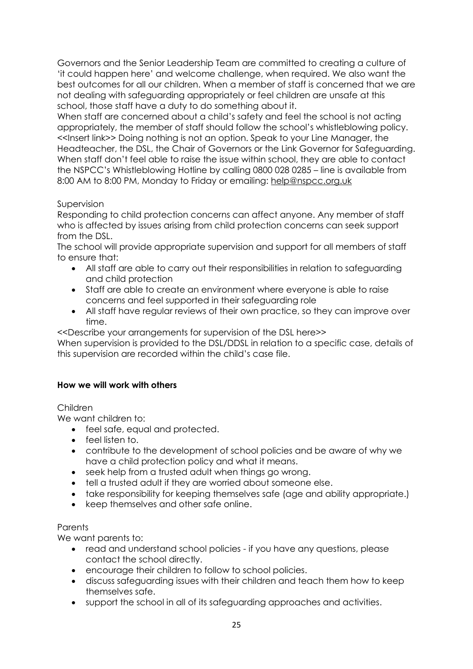Governors and the Senior Leadership Team are committed to creating a culture of 'it could happen here' and welcome challenge, when required. We also want the best outcomes for all our children. When a member of staff is concerned that we are not dealing with safeguarding appropriately or feel children are unsafe at this school, those staff have a duty to do something about it.

When staff are concerned about a child's safety and feel the school is not acting appropriately, the member of staff should follow the school's whistleblowing policy. <<Insert link>> Doing nothing is not an option. Speak to your Line Manager, the Headteacher, the DSL, the Chair of Governors or the Link Governor for Safeguarding. When staff don't feel able to raise the issue within school, they are able to contact the NSPCC's Whistleblowing Hotline by calling 0800 028 0285 – line is available from 8:00 AM to 8:00 PM, Monday to Friday or emailing: [help@nspcc.org.uk](mailto:help@nspcc.org.uk)

# <span id="page-24-0"></span>Supervision

Responding to child protection concerns can affect anyone. Any member of staff who is affected by issues arising from child protection concerns can seek support from the DSL.

The school will provide appropriate supervision and support for all members of staff to ensure that:

- All staff are able to carry out their responsibilities in relation to safeguarding and child protection
- Staff are able to create an environment where everyone is able to raise concerns and feel supported in their safeguarding role
- All staff have regular reviews of their own practice, so they can improve over time.

<<Describe your arrangements for supervision of the DSL here>>

When supervision is provided to the DSL/DDSL in relation to a specific case, details of this supervision are recorded within the child's case file.

#### <span id="page-24-1"></span>**How we will work with others**

#### <span id="page-24-2"></span>Children

We want children to:

- feel safe, equal and protected.
- feel listen to.
- contribute to the development of school policies and be aware of why we have a child protection policy and what it means.
- seek help from a trusted adult when things go wrong.
- tell a trusted adult if they are worried about someone else.
- take responsibility for keeping themselves safe (age and ability appropriate.)
- keep themselves and other safe online.

#### <span id="page-24-3"></span>Parents

We want parents to:

- read and understand school policies if you have any questions, please contact the school directly.
- encourage their children to follow to school policies.
- discuss safeguarding issues with their children and teach them how to keep themselves safe.
- support the school in all of its safeguarding approaches and activities.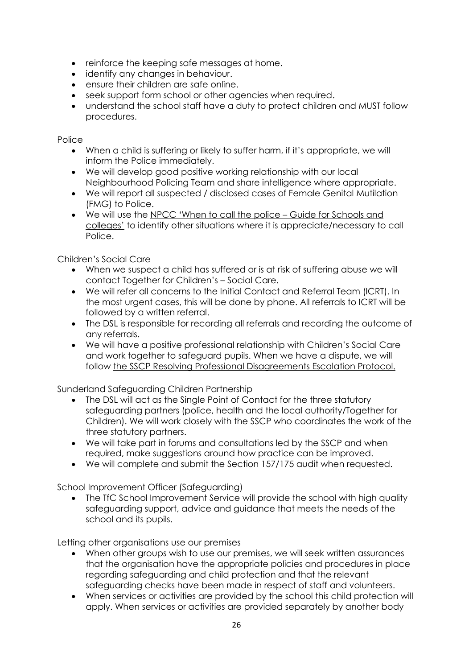- reinforce the keeping safe messages at home.
- identify any changes in behaviour.
- ensure their children are safe online.
- seek support form school or other agencies when required.
- understand the school staff have a duty to protect children and MUST follow procedures.

<span id="page-25-0"></span>Police

- When a child is suffering or likely to suffer harm, if it's appropriate, we will inform the Police immediately.
- We will develop good positive working relationship with our local Neighbourhood Policing Team and share intelligence where appropriate.
- We will report all suspected / disclosed cases of Female Genital Mutilation (FMG) to Police.
- We will use the [NPCC 'When to call the police –](https://www.npcc.police.uk/documents/Children%20and%20Young%20people/When%20to%20call%20the%20police%20guidance%20for%20schools%20and%20colleges.pdf) Guide for Schools and [colleges'](https://www.npcc.police.uk/documents/Children%20and%20Young%20people/When%20to%20call%20the%20police%20guidance%20for%20schools%20and%20colleges.pdf) to identify other situations where it is appreciate/necessary to call Police.

<span id="page-25-1"></span>Children's Social Care

- When we suspect a child has suffered or is at risk of suffering abuse we will contact Together for Children's – Social Care.
- We will refer all concerns to the Initial Contact and Referral Team (ICRT). In the most urgent cases, this will be done by phone. All referrals to ICRT will be followed by a written referral.
- The DSL is responsible for recording all referrals and recording the outcome of any referrals.
- We will have a positive professional relationship with Children's Social Care and work together to safeguard pupils. When we have a dispute, we will follow [the SSCP Resolving Professional Disagreements Escalation Protocol.](https://www.proceduresonline.com/nesubregion/files/sundlnd_escalation_chall.pdf)

<span id="page-25-2"></span>Sunderland Safeguarding Children Partnership

- The DSL will act as the Single Point of Contact for the three statutory safeguarding partners (police, health and the local authority/Together for Children). We will work closely with the SSCP who coordinates the work of the three statutory partners.
- We will take part in forums and consultations led by the SSCP and when required, make suggestions around how practice can be improved.
- We will complete and submit the Section 157/175 audit when requested.

<span id="page-25-3"></span>School Improvement Officer (Safeguarding)

 The TfC School Improvement Service will provide the school with high quality safeguarding support, advice and guidance that meets the needs of the school and its pupils.

<span id="page-25-4"></span>Letting other organisations use our premises

- When other groups wish to use our premises, we will seek written assurances that the organisation have the appropriate policies and procedures in place regarding safeguarding and child protection and that the relevant safeguarding checks have been made in respect of staff and volunteers.
- When services or activities are provided by the school this child protection will apply. When services or activities are provided separately by another body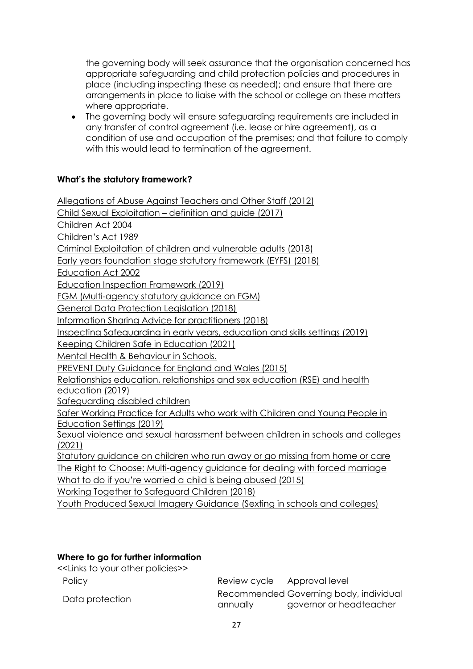the governing body will seek assurance that the organisation concerned has appropriate safeguarding and child protection policies and procedures in place (including inspecting these as needed); and ensure that there are arrangements in place to liaise with the school or college on these matters where appropriate.

 The governing body will ensure safeguarding requirements are included in any transfer of control agreement (i.e. lease or hire agreement), as a condition of use and occupation of the premises; and that failure to comply with this would lead to termination of the agreement.

### <span id="page-26-0"></span>**What's the statutory framework?**

[Allegations of Abuse Against Teachers and Other Staff \(2012\)](https://www.gov.uk/government/publications/allegations-of-abuse-against-teachers-and-non-teaching-staff)  Child Sexual Exploitation – [definition and guide \(2017\)](https://assets.publishing.service.gov.uk/government/uploads/system/uploads/attachment_data/file/591903/CSE_Guidance_Core_Document_13.02.2017.pdf) [Children Act 2004](https://www.legislation.gov.uk/ukpga/2004/31/contents) [Children's Act 1989](https://www.legislation.gov.uk/ukpga/1989/41/contents) [Criminal Exploitation of children and vulnerable adults \(2018\)](https://assets.publishing.service.gov.uk/government/uploads/system/uploads/attachment_data/file/863323/HOCountyLinesGuidance_-_Sept2018.pdf) [Early years foundation stage statutory framework \(EYFS\) \(2018\)](https://www.gov.uk/government/publications/early-years-foundation-stage-framework--2) [Education Act 2002](https://www.legislation.gov.uk/ukpga/2002/32/contents) [Education Inspection Framework \(2019\)](https://www.gov.uk/government/publications/education-inspection-framework) [FGM \(Multi-agency statutory guidance on FGM\)](https://assets.publishing.service.gov.uk/government/uploads/system/uploads/attachment_data/file/905125/6-1914-HO-Multi_Agency_Statutory_Guidance_on_FGM__-_MASTER_V7_-_FINAL__July_2020.pdf)  [General Data Protection Legislation \(2018\)](https://ec.europa.eu/commission/priorities/justice-and-fundamental-rights/data-protection/2018-reform-eu-data-protection-rules_en)  [Information Sharing Advice for practitioners \(2018\)](https://assets.publishing.service.gov.uk/government/uploads/system/uploads/attachment_data/file/721581/Information_sharing_advice_practitioners_safeguarding_services.pdf) [Inspecting Safeguarding in early years, education and skills settings \(2019\)](https://assets.publishing.service.gov.uk/government/uploads/system/uploads/attachment_data/file/828763/Inspecting_safeguarding_in_early_years__education_and_skills.pdf) [Keeping Children Safe in Education \(2021\)](https://assets.publishing.service.gov.uk/government/uploads/system/uploads/attachment_data/file/1007260/Keeping_children_safe_in_education_2021.pdf) Mental Health & [Behaviour in Schools.](https://www.gov.uk/government/publications/mental-health-and-behaviour-in-schools--2)  [PREVENT Duty Guidance for England and Wales \(2015\)](https://assets.publishing.service.gov.uk/government/uploads/system/uploads/attachment_data/file/439598/prevent-duty-departmental-advice-v6.pdf) [Relationships education, relationships and sex education \(RSE\) and health](https://www.gov.uk/government/publications/relationships-education-relationships-and-sex-education-rse-and-health-education)  [education \(2019\)](https://www.gov.uk/government/publications/relationships-education-relationships-and-sex-education-rse-and-health-education) [Safeguarding disabled children](https://assets.publishing.service.gov.uk/government/uploads/system/uploads/attachment_data/file/190544/00374-2009DOM-EN.pdf) [Safer Working Practice for Adults who work with Children and Young People in](https://www.saferrecruitmentconsortium.org/GSWP%20Sept%202019.pdf)  [Education Settings \(2019\)](https://www.saferrecruitmentconsortium.org/GSWP%20Sept%202019.pdf) [Sexual violence and sexual harassment between children in schools and colleges](https://www.gov.uk/government/publications/sexual-violence-and-sexual-harassment-between-children-in-schools-and-colleges)  [\(2021\)](https://www.gov.uk/government/publications/sexual-violence-and-sexual-harassment-between-children-in-schools-and-colleges) Statutory guidance on [children who run away or go missing from home or care](https://assets.publishing.service.gov.uk/government/uploads/system/uploads/attachment_data/file/307867/Statutory_Guidance_-_Missing_from_care__3_.pdf)  [The Right to Choose: Multi-agency guidance for dealing with forced marriage](https://assets.publishing.service.gov.uk/government/uploads/system/uploads/attachment_data/file/322310/HMG_Statutory_Guidance_publication_180614_Final.pdf)  [What to do if you're worried a](https://assets.publishing.service.gov.uk/government/uploads/system/uploads/attachment_data/file/419604/What_to_do_if_you_re_worried_a_child_is_being_abused.pdf) child is being abused (2015) [Working Together to Safeguard Children \(2018\)](https://assets.publishing.service.gov.uk/government/uploads/system/uploads/attachment_data/file/779401/Working_Together_to_Safeguard-Children.pdf) [Youth Produced Sexual Imagery Guidance \(Sexting in schools and colleges\)](https://www.gov.uk/government/publications/sexting-in-schools-and-colleges) 

#### <span id="page-26-1"></span>**Where to go for further information**

| <<< <ra>Links to your other policies&gt;&gt;</ra> |          |                                                                   |
|---------------------------------------------------|----------|-------------------------------------------------------------------|
| <b>Policy</b>                                     |          | Review cycle Approval level                                       |
| Data protection                                   | annually | Recommended Governing body, individual<br>governor or headteacher |